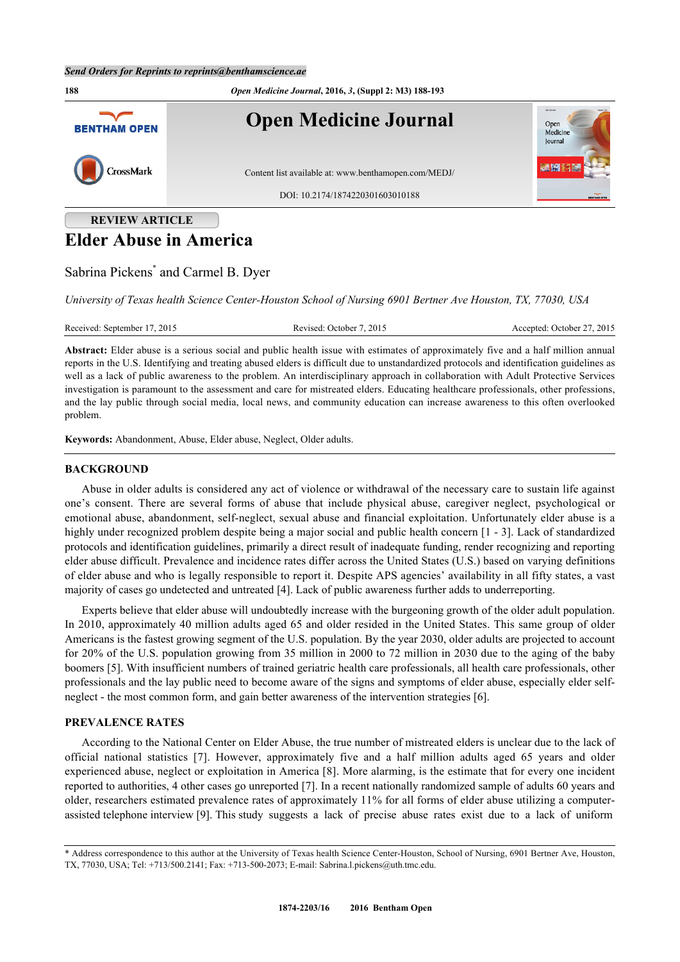#### *Send Orders for Reprints to reprints@benthamscience.ae*



# **REVIEW ARTICLE Elder Abuse in America**

Sabrina Pickens<sup>[\\*](#page-0-0)</sup> and Carmel B. Dyer

*University of Texas health Science Center-Houston School of Nursing 6901 Bertner Ave Houston, TX, 77030, USA*

Received: September 17, 2015 Revised: October 7, 2015 Accepted: October 27, 2015

**Abstract:** Elder abuse is a serious social and public health issue with estimates of approximately five and a half million annual reports in the U.S. Identifying and treating abused elders is difficult due to unstandardized protocols and identification guidelines as well as a lack of public awareness to the problem. An interdisciplinary approach in collaboration with Adult Protective Services investigation is paramount to the assessment and care for mistreated elders. Educating healthcare professionals, other professions, and the lay public through social media, local news, and community education can increase awareness to this often overlooked problem.

**Keywords:** Abandonment, Abuse, Elder abuse, Neglect, Older adults.

# **BACKGROUND**

Abuse in older adults is considered any act of violence or withdrawal of the necessary care to sustain life against one's consent. There are several forms of abuse that include physical abuse, caregiver neglect, psychological or emotional abuse, abandonment, self-neglect, sexual abuse and financial exploitation. Unfortunately elder abuse is a highly under recognized problem despite being a major social and public health concern [[1](#page-4-0) - [3](#page-4-1)]. Lack of standardized protocols and identification guidelines, primarily a direct result of inadequate funding, render recognizing and reporting elder abuse difficult. Prevalence and incidence rates differ across the United States (U.S.) based on varying definitions of elder abuse and who is legally responsible to report it. Despite APS agencies' availability in all fifty states, a vast majority of cases go undetected and untreated [[4\]](#page-4-2). Lack of public awareness further adds to underreporting.

Experts believe that elder abuse will undoubtedly increase with the burgeoning growth of the older adult population. In 2010, approximately 40 million adults aged 65 and older resided in the United States. This same group of older Americans is the fastest growing segment of the U.S. population. By the year 2030, older adults are projected to account for 20% of the U.S. population growing from 35 million in 2000 to 72 million in 2030 due to the aging of the baby boomers [\[5](#page-4-3)]. With insufficient numbers of trained geriatric health care professionals, all health care professionals, other professionals and the lay public need to become aware of the signs and symptoms of elder abuse, especially elder selfneglect - the most common form, and gain better awareness of the intervention strategies [\[6](#page-4-4)].

# **PREVALENCE RATES**

According to the National Center on Elder Abuse, the true number of mistreated elders is unclear due to the lack of official national statistics[[7](#page-4-5)]. However, approximately five and a half million adults aged 65 years and older experienced abuse, neglect or exploitation in America [[8](#page-4-6)]. More alarming, is the estimate that for every one incident reported to authorities, 4 other cases go unreported [[7\]](#page-4-5). In a recent nationally randomized sample of adults 60 years and older, researchers estimated prevalence rates of approximately 11% for all forms of elder abuse utilizing a computerassisted telephone interview [\[9](#page-4-7)]. This study suggests a lack of precise abuse rates exist due to a lack of uniform

<span id="page-0-0"></span><sup>\*</sup> Address correspondence to this author at the University of Texas health Science Center-Houston, School of Nursing, 6901 Bertner Ave, Houston, TX, 77030, USA; Tel: +713/500.2141; Fax: +713-500-2073; E-mail: [Sabrina.l.pickens@uth.tmc.edu.](mailto:Sabrina.l.pickens@uth.tmc.edu)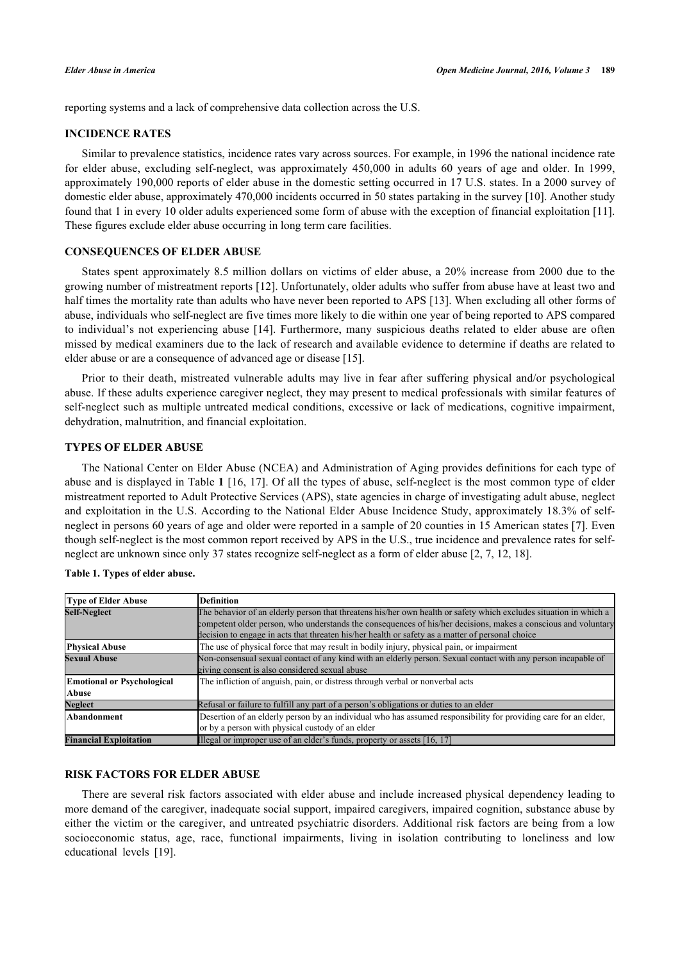reporting systems and a lack of comprehensive data collection across the U.S.

# **INCIDENCE RATES**

Similar to prevalence statistics, incidence rates vary across sources. For example, in 1996 the national incidence rate for elder abuse, excluding self-neglect, was approximately 450,000 in adults 60 years of age and older. In 1999, approximately 190,000 reports of elder abuse in the domestic setting occurred in 17 U.S. states. In a 2000 survey of domestic elder abuse, approximately 470,000 incidents occurred in 50 states partaking in the survey [\[10](#page-4-8)]. Another study found that 1 in every 10 older adults experienced some form of abuse with the exception of financial exploitation [[11\]](#page-4-9). These figures exclude elder abuse occurring in long term care facilities.

#### **CONSEQUENCES OF ELDER ABUSE**

States spent approximately 8.5 million dollars on victims of elder abuse, a 20% increase from 2000 due to the growing number of mistreatment reports [[12\]](#page-4-10). Unfortunately, older adults who suffer from abuse have at least two and half times the mortality rate than adults who have never been reported to APS [[13\]](#page-4-11). When excluding all other forms of abuse, individuals who self-neglect are five times more likely to die within one year of being reported to APS compared to individual's not experiencing abuse[[14\]](#page-4-12). Furthermore, many suspicious deaths related to elder abuse are often missed by medical examiners due to the lack of research and available evidence to determine if deaths are related to elder abuse or are a consequence of advanced age or disease [[15\]](#page-5-0).

Prior to their death, mistreated vulnerable adults may live in fear after suffering physical and/or psychological abuse. If these adults experience caregiver neglect, they may present to medical professionals with similar features of self-neglect such as multiple untreated medical conditions, excessive or lack of medications, cognitive impairment, dehydration, malnutrition, and financial exploitation.

# **TYPES OF ELDER ABUSE**

The National Center on Elder Abuse (NCEA) and Administration of Aging provides definitions for each type of abuse and is displayed in Table **[1](#page-1-0)** [[16](#page-5-1), [17](#page-5-2)]. Of all the types of abuse, self-neglect is the most common type of elder mistreatment reported to Adult Protective Services (APS), state agencies in charge of investigating adult abuse, neglect and exploitation in the U.S. According to the National Elder Abuse Incidence Study, approximately 18.3% of selfneglect in persons 60 years of age and older were reported in a sample of 20 counties in 15 American states [[7](#page-4-5)]. Even though self-neglect is the most common report received by APS in the U.S., true incidence and prevalence rates for selfneglect are unknown since only 37 states recognize self-neglect as a form of elder abuse [\[2](#page-4-13), [7](#page-4-5), [12](#page-4-10), [18](#page-5-3)].

| <b>Type of Elder Abuse</b>        | <b>Definition</b>                                                                                                 |
|-----------------------------------|-------------------------------------------------------------------------------------------------------------------|
| <b>Self-Neglect</b>               | The behavior of an elderly person that threatens his/her own health or safety which excludes situation in which a |
|                                   | competent older person, who understands the consequences of his/her decisions, makes a conscious and voluntary    |
|                                   | decision to engage in acts that threaten his/her health or safety as a matter of personal choice                  |
| <b>Physical Abuse</b>             | The use of physical force that may result in bodily injury, physical pain, or impairment                          |
| <b>Sexual Abuse</b>               | Non-consensual sexual contact of any kind with an elderly person. Sexual contact with any person incapable of     |
|                                   | giving consent is also considered sexual abuse                                                                    |
| <b>Emotional or Psychological</b> | The infliction of anguish, pain, or distress through verbal or nonverbal acts                                     |
| <b>Abuse</b>                      |                                                                                                                   |
| <b>Neglect</b>                    | Refusal or failure to fulfill any part of a person's obligations or duties to an elder                            |
| Abandonment                       | Desertion of an elderly person by an individual who has assumed responsibility for providing care for an elder,   |
|                                   | or by a person with physical custody of an elder                                                                  |
| <b>Financial Exploitation</b>     | Illegal or improper use of an elder's funds, property or assets $[16, 17]$                                        |

#### <span id="page-1-0"></span>**Table 1. Types of elder abuse.**

# **RISK FACTORS FOR ELDER ABUSE**

There are several risk factors associated with elder abuse and include increased physical dependency leading to more demand of the caregiver, inadequate social support, impaired caregivers, impaired cognition, substance abuse by either the victim or the caregiver, and untreated psychiatric disorders. Additional risk factors are being from a low socioeconomic status, age, race, functional impairments, living in isolation contributing to loneliness and low educational levels [\[19](#page-5-4)].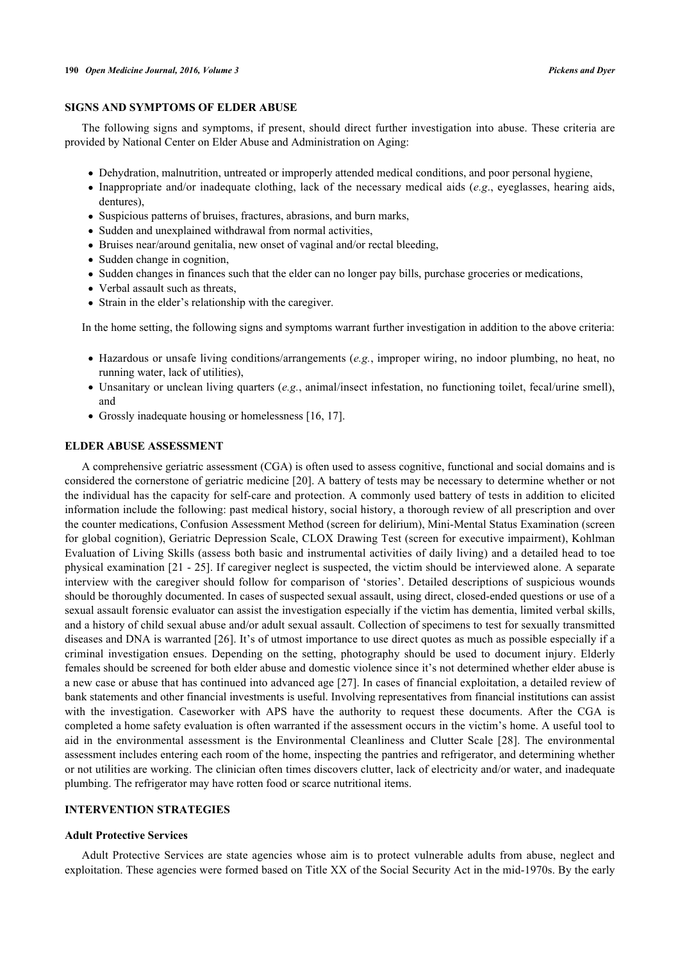# **SIGNS AND SYMPTOMS OF ELDER ABUSE**

The following signs and symptoms, if present, should direct further investigation into abuse. These criteria are provided by National Center on Elder Abuse and Administration on Aging:

- Dehydration, malnutrition, untreated or improperly attended medical conditions, and poor personal hygiene,
- Inappropriate and/or inadequate clothing, lack of the necessary medical aids (*e.g*., eyeglasses, hearing aids, dentures),
- Suspicious patterns of bruises, fractures, abrasions, and burn marks,
- Sudden and unexplained withdrawal from normal activities,
- Bruises near/around genitalia, new onset of vaginal and/or rectal bleeding,
- Sudden change in cognition,
- Sudden changes in finances such that the elder can no longer pay bills, purchase groceries or medications,
- Verbal assault such as threats,
- Strain in the elder's relationship with the caregiver.

In the home setting, the following signs and symptoms warrant further investigation in addition to the above criteria:

- Hazardous or unsafe living conditions/arrangements (*e.g.*, improper wiring, no indoor plumbing, no heat, no running water, lack of utilities),
- Unsanitary or unclean living quarters (*e.g.*, animal/insect infestation, no functioning toilet, fecal/urine smell), and
- Grossly inadequate housing or homelessness [\[16](#page-5-1), [17](#page-5-2)].

# **ELDER ABUSE ASSESSMENT**

A comprehensive geriatric assessment (CGA) is often used to assess cognitive, functional and social domains and is considered the cornerstone of geriatric medicine [\[20](#page-5-5)]. A battery of tests may be necessary to determine whether or not the individual has the capacity for self-care and protection. A commonly used battery of tests in addition to elicited information include the following: past medical history, social history, a thorough review of all prescription and over the counter medications, Confusion Assessment Method (screen for delirium), Mini-Mental Status Examination (screen for global cognition), Geriatric Depression Scale, CLOX Drawing Test (screen for executive impairment), Kohlman Evaluation of Living Skills (assess both basic and instrumental activities of daily living) and a detailed head to toe physical examination [[21](#page-5-6) - [25\]](#page-5-7). If caregiver neglect is suspected, the victim should be interviewed alone. A separate interview with the caregiver should follow for comparison of 'stories'. Detailed descriptions of suspicious wounds should be thoroughly documented. In cases of suspected sexual assault, using direct, closed-ended questions or use of a sexual assault forensic evaluator can assist the investigation especially if the victim has dementia, limited verbal skills, and a history of child sexual abuse and/or adult sexual assault. Collection of specimens to test for sexually transmitted diseases and DNA is warranted [[26](#page-5-8)]. It's of utmost importance to use direct quotes as much as possible especially if a criminal investigation ensues. Depending on the setting, photography should be used to document injury. Elderly females should be screened for both elder abuse and domestic violence since it's not determined whether elder abuse is a new case or abuse that has continued into advanced age [[27](#page-5-9)]. In cases of financial exploitation, a detailed review of bank statements and other financial investments is useful. Involving representatives from financial institutions can assist with the investigation. Caseworker with APS have the authority to request these documents. After the CGA is completed a home safety evaluation is often warranted if the assessment occurs in the victim's home. A useful tool to aid in the environmental assessment is the Environmental Cleanliness and Clutter Scale [\[28\]](#page-5-10). The environmental assessment includes entering each room of the home, inspecting the pantries and refrigerator, and determining whether or not utilities are working. The clinician often times discovers clutter, lack of electricity and/or water, and inadequate plumbing. The refrigerator may have rotten food or scarce nutritional items.

# **INTERVENTION STRATEGIES**

#### **Adult Protective Services**

Adult Protective Services are state agencies whose aim is to protect vulnerable adults from abuse, neglect and exploitation. These agencies were formed based on Title XX of the Social Security Act in the mid-1970s. By the early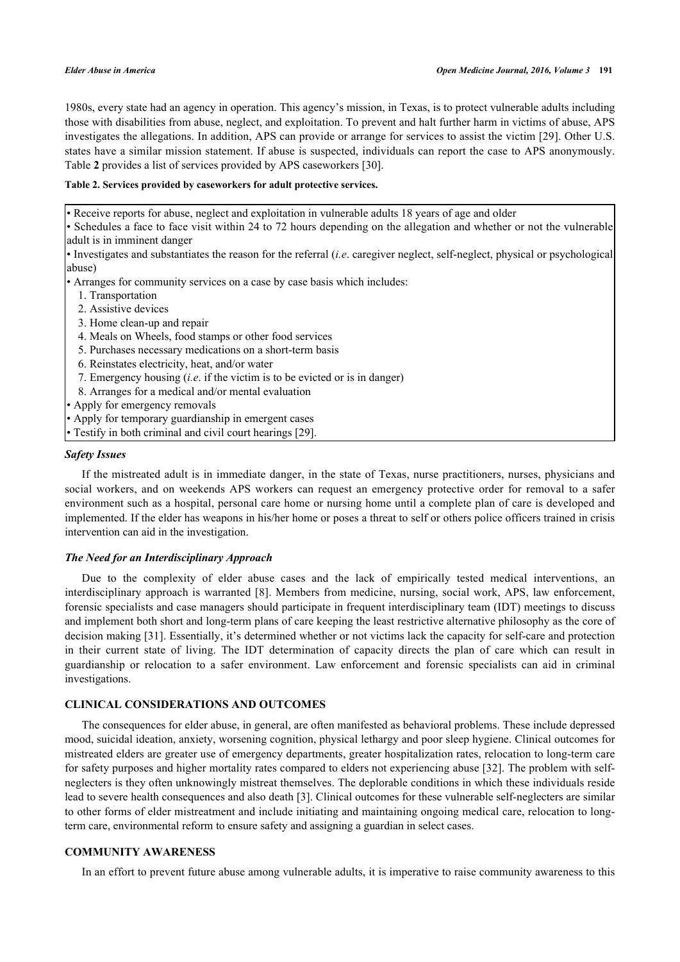1980s, every state had an agency in operation. This agency's mission, in Texas, is to protect vulnerable adults including those with disabilities from abuse, neglect, and exploitation. To prevent and halt further harm in victims of abuse, APS investigates the allegations. In addition, APS can provide or arrange for services to assist the victim [\[29\]](#page-5-11). Other U.S. states have a similar mission statement. If abuse is suspected, individuals can report the case to APS anonymously. Table **[2](#page-3-0)** provides a list of services provided by APS caseworkers [\[30](#page-5-12)].

#### <span id="page-3-0"></span>**Table 2. Services provided by caseworkers for adult protective services.**

• Receive reports for abuse, neglect and exploitation in vulnerable adults 18 years of age and older

• Schedules a face to face visit within 24 to 72 hours depending on the allegation and whether or not the vulnerable adult is in imminent danger

• Investigates and substantiates the reason for the referral (*i.e*. caregiver neglect, self-neglect, physical or psychological abuse)

• Arranges for community services on a case by case basis which includes:

- 1. Transportation
- 2. Assistive devices
- 3. Home clean-up and repair
- 4. Meals on Wheels, food stamps or other food services
- 5. Purchases necessary medications on a short-term basis
- 6. Reinstates electricity, heat, and/or water
- 7. Emergency housing (*i.e*. if the victim is to be evicted or is in danger)
- 8. Arranges for a medical and/or mental evaluation
- Apply for emergency removals
- Apply for temporary guardianship in emergent cases
- Testify in both criminal and civil court hearings [[29\]](#page-5-11).

#### *Safety Issues*

If the mistreated adult is in immediate danger, in the state of Texas, nurse practitioners, nurses, physicians and social workers, and on weekends APS workers can request an emergency protective order for removal to a safer environment such as a hospital, personal care home or nursing home until a complete plan of care is developed and implemented. If the elder has weapons in his/her home or poses a threat to self or others police officers trained in crisis intervention can aid in the investigation.

## *The Need for an Interdisciplinary Approach*

Due to the complexity of elder abuse cases and the lack of empirically tested medical interventions, an interdisciplinary approach is warranted [[8\]](#page-4-6). Members from medicine, nursing, social work, APS, law enforcement, forensic specialists and case managers should participate in frequent interdisciplinary team (IDT) meetings to discuss and implement both short and long-term plans of care keeping the least restrictive alternative philosophy as the core of decision making [[31\]](#page-5-13). Essentially, it's determined whether or not victims lack the capacity for self-care and protection in their current state of living. The IDT determination of capacity directs the plan of care which can result in guardianship or relocation to a safer environment. Law enforcement and forensic specialists can aid in criminal investigations.

## **CLINICAL CONSIDERATIONS AND OUTCOMES**

The consequences for elder abuse, in general, are often manifested as behavioral problems. These include depressed mood, suicidal ideation, anxiety, worsening cognition, physical lethargy and poor sleep hygiene. Clinical outcomes for mistreated elders are greater use of emergency departments, greater hospitalization rates, relocation to long-term care for safety purposes and higher mortality rates compared to elders not experiencing abuse [[32\]](#page-5-14). The problem with selfneglecters is they often unknowingly mistreat themselves. The deplorable conditions in which these individuals reside lead to severe health consequences and also death [\[3](#page-4-1)]. Clinical outcomes for these vulnerable self-neglecters are similar to other forms of elder mistreatment and include initiating and maintaining ongoing medical care, relocation to longterm care, environmental reform to ensure safety and assigning a guardian in select cases.

#### **COMMUNITY AWARENESS**

In an effort to prevent future abuse among vulnerable adults, it is imperative to raise community awareness to this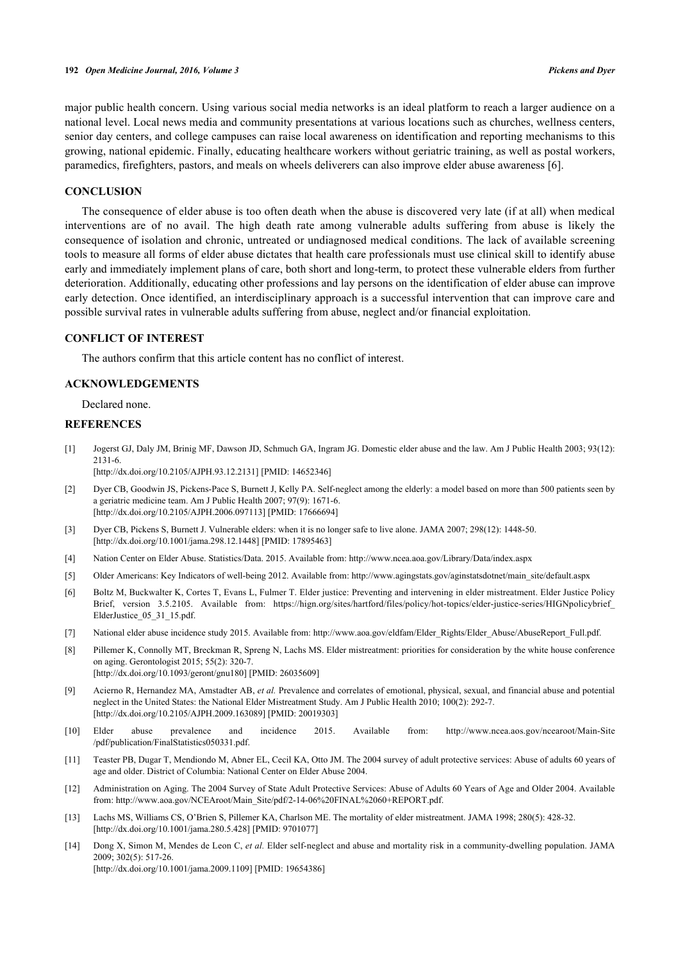major public health concern. Using various social media networks is an ideal platform to reach a larger audience on a national level. Local news media and community presentations at various locations such as churches, wellness centers, senior day centers, and college campuses can raise local awareness on identification and reporting mechanisms to this growing, national epidemic. Finally, educating healthcare workers without geriatric training, as well as postal workers, paramedics, firefighters, pastors, and meals on wheels deliverers can also improve elder abuse awareness [[6\]](#page-4-4).

#### **CONCLUSION**

The consequence of elder abuse is too often death when the abuse is discovered very late (if at all) when medical interventions are of no avail. The high death rate among vulnerable adults suffering from abuse is likely the consequence of isolation and chronic, untreated or undiagnosed medical conditions. The lack of available screening tools to measure all forms of elder abuse dictates that health care professionals must use clinical skill to identify abuse early and immediately implement plans of care, both short and long-term, to protect these vulnerable elders from further deterioration. Additionally, educating other professions and lay persons on the identification of elder abuse can improve early detection. Once identified, an interdisciplinary approach is a successful intervention that can improve care and possible survival rates in vulnerable adults suffering from abuse, neglect and/or financial exploitation.

# **CONFLICT OF INTEREST**

The authors confirm that this article content has no conflict of interest.

## **ACKNOWLEDGEMENTS**

Declared none.

# **REFERENCES**

<span id="page-4-0"></span>[1] Jogerst GJ, Daly JM, Brinig MF, Dawson JD, Schmuch GA, Ingram JG. Domestic elder abuse and the law. Am J Public Health 2003; 93(12): 2131-6.

[\[http://dx.doi.org/10.2105/AJPH.93.12.2131\]](http://dx.doi.org/10.2105/AJPH.93.12.2131) [PMID: [14652346](http://www.ncbi.nlm.nih.gov/pubmed/14652346)]

- <span id="page-4-13"></span>[2] Dyer CB, Goodwin JS, Pickens-Pace S, Burnett J, Kelly PA. Self-neglect among the elderly: a model based on more than 500 patients seen by a geriatric medicine team. Am J Public Health 2007; 97(9): 1671-6. [\[http://dx.doi.org/10.2105/AJPH.2006.097113\]](http://dx.doi.org/10.2105/AJPH.2006.097113) [PMID: [17666694](http://www.ncbi.nlm.nih.gov/pubmed/17666694)]
- <span id="page-4-1"></span>[3] Dyer CB, Pickens S, Burnett J. Vulnerable elders: when it is no longer safe to live alone. JAMA 2007; 298(12): 1448-50. [\[http://dx.doi.org/10.1001/jama.298.12.1448](http://dx.doi.org/10.1001/jama.298.12.1448)] [PMID: [17895463\]](http://www.ncbi.nlm.nih.gov/pubmed/17895463)
- <span id="page-4-2"></span>[4] Nation Center on Elder Abuse. Statistics/Data. 2015. Available from: <http://www.ncea.aoa.gov/Library/Data/index.aspx>
- <span id="page-4-3"></span>[5] Older Americans: Key Indicators of well-being 2012. Available from: [http://www.agingstats.gov/aginstatsdotnet/main\\_site/default.aspx](http://www.agingstats.gov/aginstatsdotnet/main_site/default.aspx)
- <span id="page-4-4"></span>[6] Boltz M, Buckwalter K, Cortes T, Evans L, Fulmer T. Elder justice: Preventing and intervening in elder mistreatment. Elder Justice Policy Brief, version 3.5.2105. Available from: [https://hign.org/sites/hartford/files/policy/hot-topics/elder-justice-series/HIGNpolicybrief\\_](https://hign.org/sites/hartford/files/policy/hot-topics/elder-justice-series/HIGNpolicybrief_ElderJustice_05_31_15.pdf) [ElderJustice\\_05\\_31\\_15.pdf](https://hign.org/sites/hartford/files/policy/hot-topics/elder-justice-series/HIGNpolicybrief_ElderJustice_05_31_15.pdf).
- <span id="page-4-5"></span>[7] National elder abuse incidence study 2015. Available from: [http://www.aoa.gov/eldfam/Elder\\_Rights/Elder\\_Abuse/AbuseReport\\_Full.pdf.](http://www.aoa.gov/eldfam/Elder_Rights/Elder_Abuse/AbuseReport_Full.pdf.)
- <span id="page-4-6"></span>[8] Pillemer K, Connolly MT, Breckman R, Spreng N, Lachs MS. Elder mistreatment: priorities for consideration by the white house conference on aging. Gerontologist 2015; 55(2): 320-7. [\[http://dx.doi.org/10.1093/geront/gnu180](http://dx.doi.org/10.1093/geront/gnu180)] [PMID: [26035609](http://www.ncbi.nlm.nih.gov/pubmed/26035609)]
- <span id="page-4-7"></span>[9] Acierno R, Hernandez MA, Amstadter AB, *et al.* Prevalence and correlates of emotional, physical, sexual, and financial abuse and potential neglect in the United States: the National Elder Mistreatment Study. Am J Public Health 2010; 100(2): 292-7. [\[http://dx.doi.org/10.2105/AJPH.2009.163089\]](http://dx.doi.org/10.2105/AJPH.2009.163089) [PMID: [20019303](http://www.ncbi.nlm.nih.gov/pubmed/20019303)]
- <span id="page-4-8"></span>[10] Elder abuse prevalence and incidence 2015. Available from: [http://www.ncea.aos.gov/ncearoot/Main-Site](http://www.ncea.aos.gov/ncearoot/Main-Site/pdf/publication/FinalStatistics050331.pdf) [/pdf/publication/FinalStatistics050331.pdf.](http://www.ncea.aos.gov/ncearoot/Main-Site/pdf/publication/FinalStatistics050331.pdf)
- <span id="page-4-9"></span>[11] Teaster PB, Dugar T, Mendiondo M, Abner EL, Cecil KA, Otto JM. The 2004 survey of adult protective services: Abuse of adults 60 years of age and older. District of Columbia: National Center on Elder Abuse 2004.
- <span id="page-4-10"></span>[12] Administration on Aging. The 2004 Survey of State Adult Protective Services: Abuse of Adults 60 Years of Age and Older 2004. Available from: [http://www.aoa.gov/NCEAroot/Main\\_Site/pdf/2-14-06%20FINAL%2060+REPORT.pdf.](http://www.aoa.gov/NCEAroot/Main_Site/pdf/2-14-06%20FINAL%2060+REPORT.pdf)
- <span id="page-4-11"></span>[13] Lachs MS, Williams CS, O'Brien S, Pillemer KA, Charlson ME. The mortality of elder mistreatment. JAMA 1998; 280(5): 428-32. [\[http://dx.doi.org/10.1001/jama.280.5.428](http://dx.doi.org/10.1001/jama.280.5.428)] [PMID: [9701077\]](http://www.ncbi.nlm.nih.gov/pubmed/9701077)
- <span id="page-4-12"></span>[14] Dong X, Simon M, Mendes de Leon C, *et al.* Elder self-neglect and abuse and mortality risk in a community-dwelling population. JAMA 2009; 302(5): 517-26. [\[http://dx.doi.org/10.1001/jama.2009.1109](http://dx.doi.org/10.1001/jama.2009.1109)] [PMID: [19654386\]](http://www.ncbi.nlm.nih.gov/pubmed/19654386)